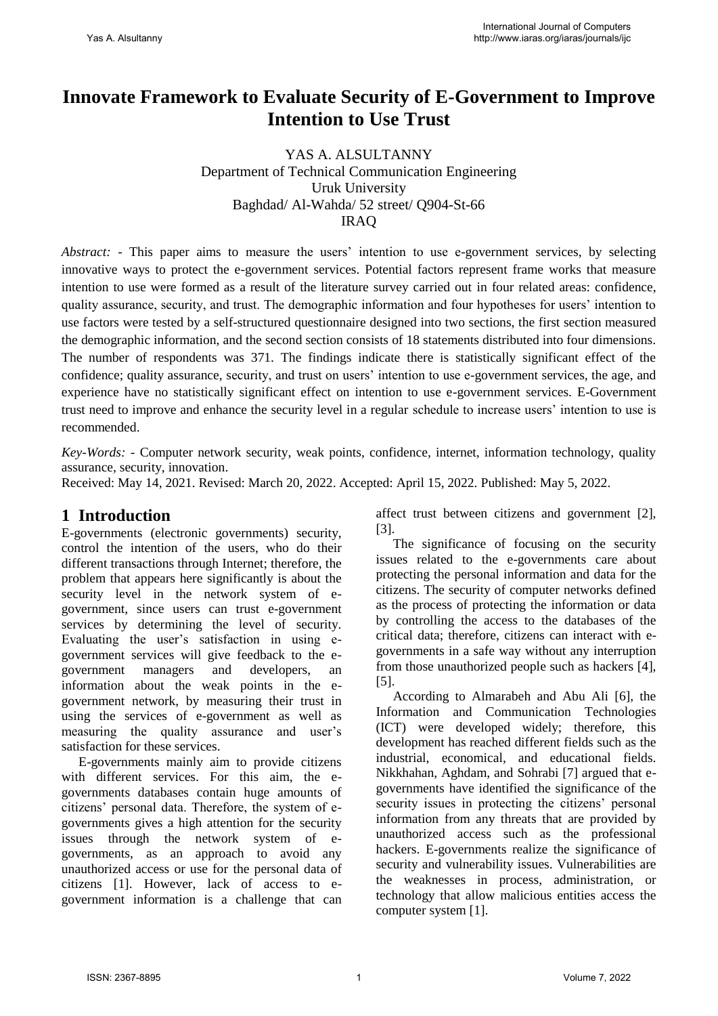# **Innovate Framework to Evaluate Security of E-Government to Improve Intention to Use Trust**

YAS A. ALSULTANNY Department of Technical Communication Engineering Uruk University Baghdad/ Al-Wahda/ 52 street/ Q904-St-66 IRAQ

*Abstract:* - This paper aims to measure the users' intention to use e-government services, by selecting innovative ways to protect the e-government services. Potential factors represent frame works that measure intention to use were formed as a result of the literature survey carried out in four related areas: confidence, quality assurance, security, and trust. The demographic information and four hypotheses for users' intention to use factors were tested by a self-structured questionnaire designed into two sections, the first section measured the demographic information, and the second section consists of 18 statements distributed into four dimensions. The number of respondents was 371. The findings indicate there is statistically significant effect of the confidence; quality assurance, security, and trust on users' intention to use e-government services, the age, and experience have no statistically significant effect on intention to use e-government services. E-Government trust need to improve and enhance the security level in a regular schedule to increase users' intention to use is recommended.

*Key-Words: -* Computer network security, weak points, confidence, internet, information technology, quality assurance, security, innovation.

Received: May 14, 2021. Revised: March 20, 2022. Accepted: April 15, 2022. Published: May 5, 2022.

# **1 Introduction**

E-governments (electronic governments) security, control the intention of the users, who do their different transactions through Internet; therefore, the problem that appears here significantly is about the security level in the network system of egovernment, since users can trust e-government services by determining the level of security. Evaluating the user's satisfaction in using egovernment services will give feedback to the egovernment managers and developers, an information about the weak points in the egovernment network, by measuring their trust in using the services of e-government as well as measuring the quality assurance and user's satisfaction for these services.

E-governments mainly aim to provide citizens with different services. For this aim, the egovernments databases contain huge amounts of citizens' personal data. Therefore, the system of egovernments gives a high attention for the security issues through the network system of egovernments, as an approach to avoid any unauthorized access or use for the personal data of citizens [1]. However, lack of access to egovernment information is a challenge that can affect trust between citizens and government [2], [3].

The significance of focusing on the security issues related to the e-governments care about protecting the personal information and data for the citizens. The security of computer networks defined as the process of protecting the information or data by controlling the access to the databases of the critical data; therefore, citizens can interact with egovernments in a safe way without any interruption from those unauthorized people such as hackers [4], [5].

According to Almarabeh and Abu Ali [6], the Information and Communication Technologies (ICT) were developed widely; therefore, this development has reached different fields such as the industrial, economical, and educational fields. Nikkhahan, Aghdam, and Sohrabi [7] argued that egovernments have identified the significance of the security issues in protecting the citizens' personal information from any threats that are provided by unauthorized access such as the professional hackers. E-governments realize the significance of security and vulnerability issues. Vulnerabilities are the weaknesses in process, administration, or technology that allow malicious entities access the computer system [1].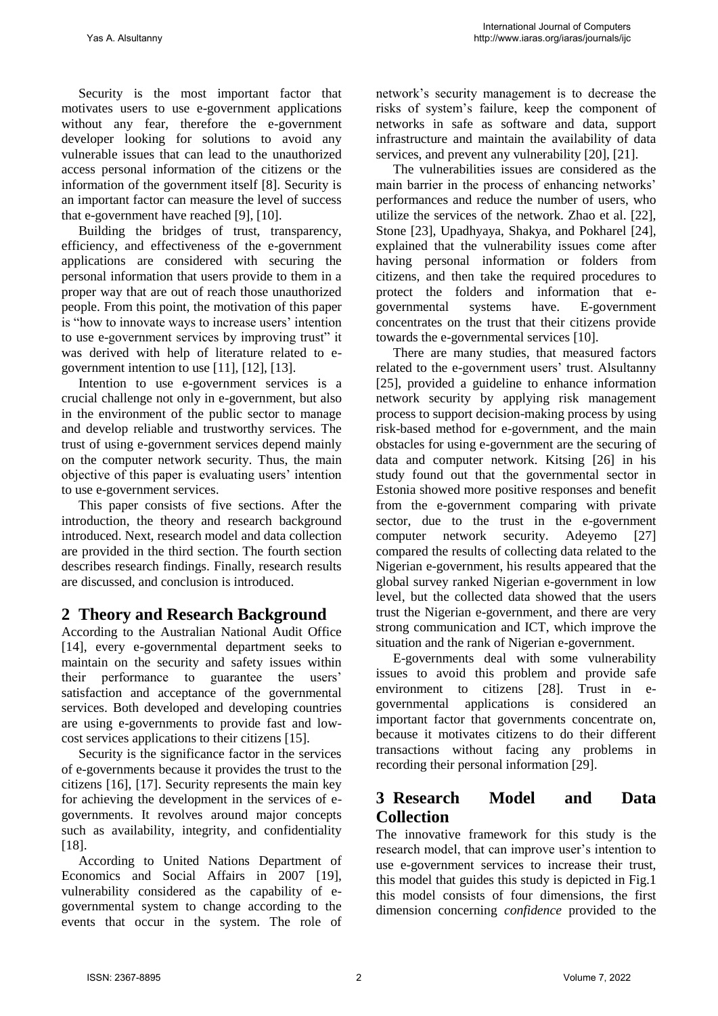Security is the most important factor that motivates users to use e-government applications without any fear, therefore the e-government developer looking for solutions to avoid any vulnerable issues that can lead to the unauthorized access personal information of the citizens or the information of the government itself [8]. Security is an important factor can measure the level of success that e-government have reached [9], [10].

Building the bridges of trust, transparency, efficiency, and effectiveness of the e-government applications are considered with securing the personal information that users provide to them in a proper way that are out of reach those unauthorized people. From this point, the motivation of this paper is "how to innovate ways to increase users' intention to use e-government services by improving trust" it was derived with help of literature related to egovernment intention to use [11], [12], [13].

Intention to use e-government services is a crucial challenge not only in e-government, but also in the environment of the public sector to manage and develop reliable and trustworthy services. The trust of using e-government services depend mainly on the computer network security. Thus, the main objective of this paper is evaluating users' intention to use e-government services.

This paper consists of five sections. After the introduction, the theory and research background introduced. Next, research model and data collection are provided in the third section. The fourth section describes research findings. Finally, research results are discussed, and conclusion is introduced.

# **2 Theory and Research Background**

According to the Australian National Audit Office [14], every e-governmental department seeks to maintain on the security and safety issues within their performance to guarantee the users' satisfaction and acceptance of the governmental services. Both developed and developing countries are using e-governments to provide fast and lowcost services applications to their citizens [15].

Security is the significance factor in the services of e-governments because it provides the trust to the citizens [16], [17]. Security represents the main key for achieving the development in the services of egovernments. It revolves around major concepts such as availability, integrity, and confidentiality [18].

According to United Nations Department of Economics and Social Affairs in 2007 [19], vulnerability considered as the capability of egovernmental system to change according to the events that occur in the system. The role of network's security management is to decrease the risks of system's failure, keep the component of networks in safe as software and data, support infrastructure and maintain the availability of data services, and prevent any vulnerability [20], [21].

The vulnerabilities issues are considered as the main barrier in the process of enhancing networks' performances and reduce the number of users, who utilize the services of the network. Zhao et al. [22], Stone [23], Upadhyaya, Shakya, and Pokharel [24], explained that the vulnerability issues come after having personal information or folders from citizens, and then take the required procedures to protect the folders and information that egovernmental systems have. E-government concentrates on the trust that their citizens provide towards the e-governmental services [10].

There are many studies, that measured factors related to the e-government users' trust. Alsultanny [25], provided a guideline to enhance information network security by applying risk management process to support decision-making process by using risk-based method for e-government, and the main obstacles for using e-government are the securing of data and computer network. Kitsing [26] in his study found out that the governmental sector in Estonia showed more positive responses and benefit from the e-government comparing with private sector, due to the trust in the e-government computer network security. Adeyemo [27] compared the results of collecting data related to the Nigerian e-government, his results appeared that the global survey ranked Nigerian e-government in low level, but the collected data showed that the users trust the Nigerian e-government, and there are very strong communication and ICT, which improve the situation and the rank of Nigerian e-government.

E-governments deal with some vulnerability issues to avoid this problem and provide safe environment to citizens [28]. Trust in egovernmental applications is considered an important factor that governments concentrate on, because it motivates citizens to do their different transactions without facing any problems in recording their personal information [29].

# **3 Research Model and Data Collection**

The innovative framework for this study is the research model, that can improve user's intention to use e-government services to increase their trust, this model that guides this study is depicted in Fig.1 this model consists of four dimensions, the first dimension concerning *confidence* provided to the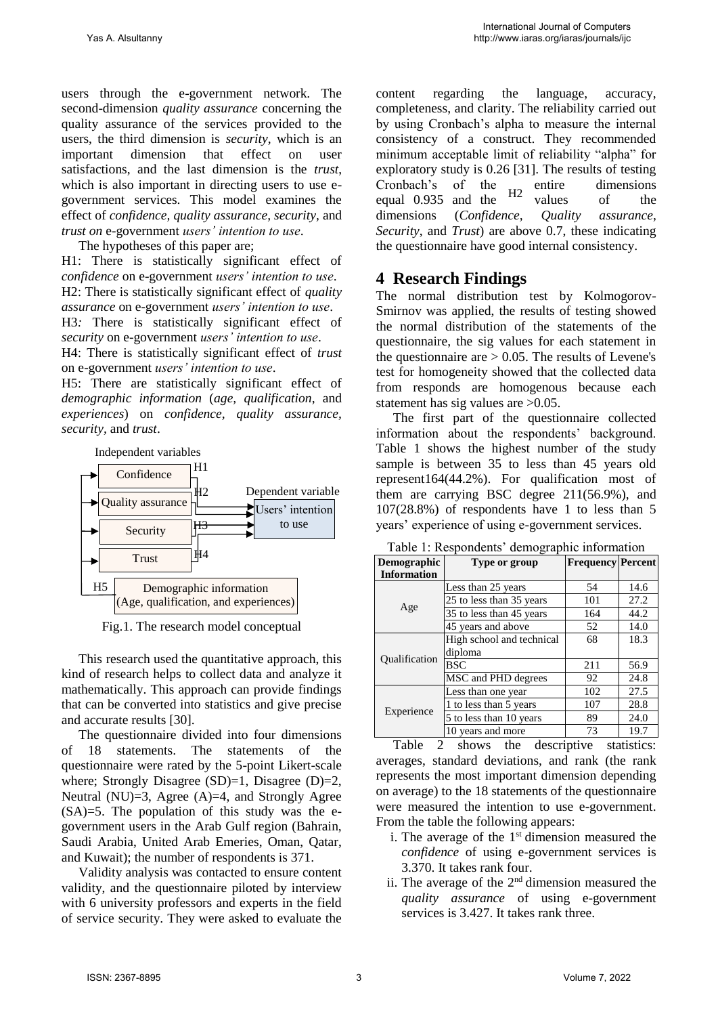users through the e-government network. The second-dimension *quality assurance* concerning the quality assurance of the services provided to the users, the third dimension is *security*, which is an important dimension that effect on user satisfactions, and the last dimension is the *trust*, which is also important in directing users to use egovernment services. This model examines the effect of *confidence, quality assurance, security,* and *trust on* e-government *users' intention to use*.

The hypotheses of this paper are;

H1: There is statistically significant effect of *confidence* on e-government *users' intention to use*. H2: There is statistically significant effect of *quality assurance* on e-government *users' intention to use*.

H3*:* There is statistically significant effect of *security* on e-government *users' intention to use*.

H4: There is statistically significant effect of *trust* on e-government *users' intention to use*.

H5: There are statistically significant effect of *demographic information* (*age, qualification*, and *experiences*) on *confidence, quality assurance, security,* and *trust*.



Fig.1. The research model conceptual

This research used the quantitative approach, this kind of research helps to collect data and analyze it mathematically. This approach can provide findings that can be converted into statistics and give precise and accurate results [30].

The questionnaire divided into four dimensions of 18 statements. The statements of the questionnaire were rated by the 5-point Likert-scale where; Strongly Disagree  $(SD)=1$ , Disagree  $(D)=2$ , Neutral (NU)=3, Agree (A)=4, and Strongly Agree (SA)=5. The population of this study was the egovernment users in the Arab Gulf region (Bahrain, Saudi Arabia, United Arab Emeries, Oman, Qatar, and Kuwait); the number of respondents is 371.

Validity analysis was contacted to ensure content validity, and the questionnaire piloted by interview with 6 university professors and experts in the field of service security. They were asked to evaluate the

content regarding the language, accuracy, completeness, and clarity. The reliability carried out by using Cronbach's alpha to measure the internal consistency of a construct. They recommended minimum acceptable limit of reliability "alpha" for exploratory study is 0.26 [31]. The results of testing Cronbach's of the entire dimensions equal 0.935 and the  $\frac{n}{2}$  values of the dimensions (*Confidence, Quality assurance, Security*, and *Trust*) are above 0.7, these indicating the questionnaire have good internal consistency. H2

#### **4 Research Findings**

The normal distribution test by Kolmogorov-Smirnov was applied, the results of testing showed the normal distribution of the statements of the questionnaire, the sig values for each statement in the questionnaire are  $> 0.05$ . The results of Levene's test for homogeneity showed that the collected data from responds are homogenous because each statement has sig values are  $>0.05$ .

The first part of the questionnaire collected information about the respondents' background. Table 1 shows the highest number of the study sample is between 35 to less than 45 years old represent164(44.2%). For qualification most of them are carrying BSC degree 211(56.9%), and 107(28.8%) of respondents have 1 to less than 5 years' experience of using e-government services.

| <b>Demographic</b> | Type or group             | <b>Frequency Percent</b> |      |  |
|--------------------|---------------------------|--------------------------|------|--|
| <b>Information</b> |                           |                          |      |  |
|                    | Less than 25 years        | 54                       | 14.6 |  |
| Age                | 25 to less than 35 years  | 101                      | 27.2 |  |
|                    | 35 to less than 45 years  | 164                      | 44.2 |  |
|                    | 45 years and above        | 52                       | 14.0 |  |
| Qualification      | High school and technical | 68                       | 18.3 |  |
|                    | diploma                   |                          |      |  |
|                    | <b>BSC</b>                | 211                      | 56.9 |  |
|                    | MSC and PHD degrees       | 92                       | 24.8 |  |
|                    | Less than one year        | 102                      | 27.5 |  |
| Experience         | 1 to less than 5 years    | 107                      | 28.8 |  |
|                    | 5 to less than 10 years   | 89                       | 24.0 |  |
|                    | 10 years and more         | 73                       | 19.7 |  |

Table 1: Respondents' demographic information

Table 2 shows the descriptive statistics: averages, standard deviations, and rank (the rank represents the most important dimension depending on average) to the 18 statements of the questionnaire were measured the intention to use e-government. From the table the following appears:

- i. The average of the  $1<sup>st</sup>$  dimension measured the *confidence* of using e-government services is 3.370. It takes rank four.
- ii. The average of the  $2<sup>nd</sup>$  dimension measured the *quality assurance* of using e-government services is 3.427. It takes rank three.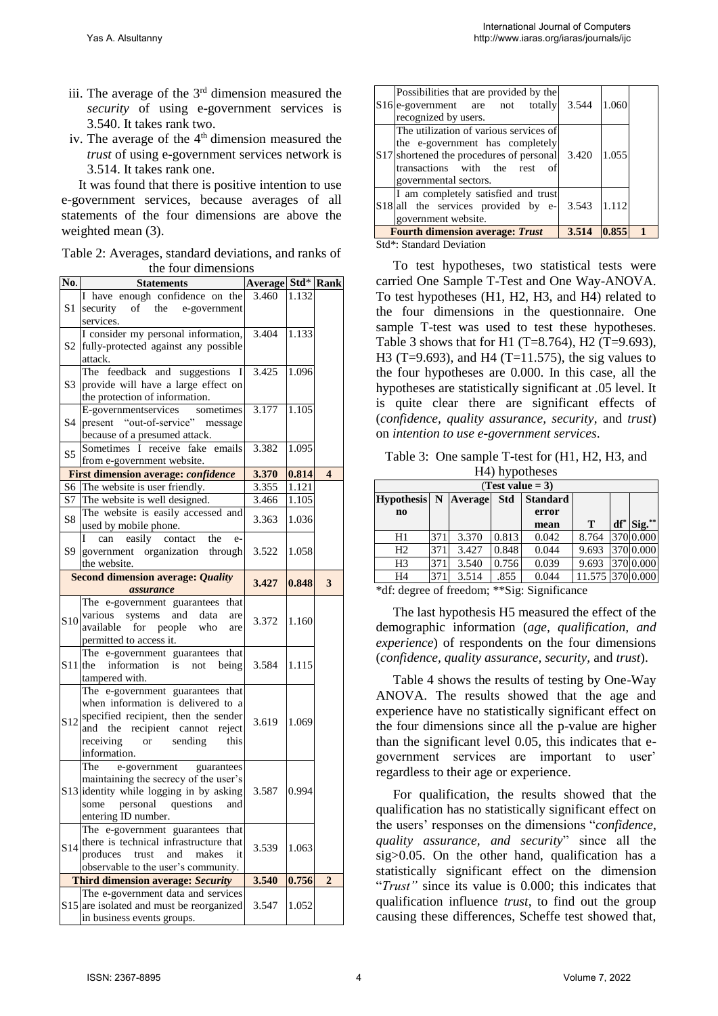- iii. The average of the 3rd dimension measured the *security* of using e-government services is 3.540. It takes rank two.
- iv. The average of the  $4<sup>th</sup>$  dimension measured the *trust* of using e-government services network is 3.514. It takes rank one.

It was found that there is positive intention to use e-government services, because averages of all statements of the four dimensions are above the weighted mean  $(3)$ .

Table 2: Averages, standard deviations, and ranks of the four dimensions

| No.             | <b>Statements</b>                                                        | <b>Average Std*</b> Rank |       |                         |
|-----------------|--------------------------------------------------------------------------|--------------------------|-------|-------------------------|
|                 | I have enough confidence on the                                          | 3.460                    | 1.132 |                         |
| S <sub>1</sub>  | security<br>of the e-government                                          |                          |       |                         |
|                 | services.                                                                |                          |       |                         |
|                 | I consider my personal information,                                      | 3.404                    | 1.133 |                         |
| S2              | fully-protected against any possible                                     |                          |       |                         |
|                 | attack.                                                                  |                          |       |                         |
|                 | The feedback and suggestions I                                           | 3.425                    | 1.096 |                         |
| S3              | provide will have a large effect on                                      |                          |       |                         |
|                 | the protection of information.                                           |                          |       |                         |
|                 | E-governmentservices sometimes<br>present "out-of-service" message       | 3.177                    | 1.105 |                         |
| S4              |                                                                          |                          |       |                         |
|                 | because of a presumed attack.<br>Sometimes I receive fake emails         | 3.382                    | 1.095 |                         |
| S5              | from e-government website.                                               |                          |       |                         |
|                 | <b>First dimension average: confidence</b>                               | 3.370                    | 0.814 | $\overline{\mathbf{4}}$ |
| S6              | The website is user friendly.                                            | 3.355                    | 1.121 |                         |
| S7              | The website is well designed.                                            | 3.466                    | 1.105 |                         |
|                 | The website is easily accessed and                                       |                          |       |                         |
| S8              | used by mobile phone.                                                    | 3.363                    | 1.036 |                         |
|                 | can easily contact<br>the<br>e-                                          |                          |       |                         |
| S9              | government organization through                                          | 3.522                    | 1.058 |                         |
|                 | the website.                                                             |                          |       |                         |
|                 | <b>Second dimension average: Quality</b>                                 | 3.427                    | 0.848 | 3                       |
|                 | assurance                                                                |                          |       |                         |
|                 | The e-government guarantees that                                         |                          |       |                         |
| <b>S10</b>      | various systems and<br>data<br>are                                       | 3.372                    | 1.160 |                         |
|                 | available for people<br>who<br>are                                       |                          |       |                         |
|                 | permitted to access it.                                                  |                          |       |                         |
|                 | The e-government guarantees that<br>$S11$ the<br>information is          | 3.584                    | 1.115 |                         |
|                 | being<br>not<br>tampered with.                                           |                          |       |                         |
|                 | The e-government guarantees that                                         |                          |       |                         |
|                 | when information is delivered to a                                       |                          |       |                         |
|                 | specified recipient, then the sender                                     |                          |       |                         |
| S <sub>12</sub> | and the recipient cannot<br>reject                                       | 3.619                    | 1.069 |                         |
|                 | receiving<br>sending<br>this<br>or                                       |                          |       |                         |
|                 | information.                                                             |                          |       |                         |
|                 | e-government guarantees<br>The                                           |                          |       |                         |
|                 | maintaining the secrecy of the user's                                    |                          |       |                         |
|                 | S13 identity while logging in by asking                                  | 3.587                    | 0.994 |                         |
|                 | some personal questions<br>and                                           |                          |       |                         |
|                 | entering ID number.                                                      |                          |       |                         |
|                 | The e-government guarantees that                                         |                          |       |                         |
| S <sub>14</sub> | there is technical infrastructure that                                   | 3.539                    | 1.063 |                         |
|                 | produces<br>trust<br>and makes<br>it                                     |                          |       |                         |
|                 | observable to the user's community.<br>Third dimension average: Security | 3.540                    | 0.756 | $\overline{2}$          |
|                 | The e-government data and services                                       |                          |       |                         |
|                 | S15 are isolated and must be reorganized                                 | 3.547                    | 1.052 |                         |
|                 | in business events groups.                                               |                          |       |                         |

| Possibilities that are provided by the<br>S <sub>16</sub> e-government are not totally<br>recognized by users.                                                                                 | 3.544 | 1.060 |  |
|------------------------------------------------------------------------------------------------------------------------------------------------------------------------------------------------|-------|-------|--|
| The utilization of various services of<br>the e-government has completely<br>S <sub>17</sub> shortened the procedures of personal<br>transactions with the rest<br>of<br>governmental sectors. | 3.420 | 1.055 |  |
| I am completely satisfied and trust<br>S18 all the services provided by e-<br>government website.                                                                                              | 3.543 | 1.112 |  |
| <b>Fourth dimension average: Trust</b>                                                                                                                                                         | 3.514 | 0.855 |  |
| Ctd* Ctondord Dovintion                                                                                                                                                                        |       |       |  |

Std\*: Standard Deviation

To test hypotheses, two statistical tests were carried One Sample T-Test and One Way-ANOVA. To test hypotheses (H1, H2, H3, and H4) related to the four dimensions in the questionnaire. One sample T-test was used to test these hypotheses. Table 3 shows that for H1 (T=8.764), H2 (T=9.693), H3 (T=9.693), and H4 (T=11.575), the sig values to the four hypotheses are 0.000. In this case, all the hypotheses are statistically significant at .05 level. It is quite clear there are significant effects of (*confidence, quality assurance, security*, and *trust*) on *intention to use e-government services*.

Table 3: One sample T-test for (H1, H2, H3, and H4) hypotheses

| (Test value $= 3$ )      |     |       |            |                 |                  |        |                    |  |  |  |  |  |
|--------------------------|-----|-------|------------|-----------------|------------------|--------|--------------------|--|--|--|--|--|
| Hypothesis   N   Average |     |       | <b>Std</b> | <b>Standard</b> |                  |        |                    |  |  |  |  |  |
| $\mathbf{n}$             |     |       |            | error           |                  |        |                    |  |  |  |  |  |
|                          |     |       |            | mean            | T                | $df^*$ | $\text{Sig.}^{**}$ |  |  |  |  |  |
| H1                       | 371 | 3.370 | 0.813      | 0.042           | 8.764            |        | 370 0.000          |  |  |  |  |  |
| H <sub>2</sub>           | 371 | 3.427 | 0.848      | 0.044           | 9.693            |        | 370 0.000          |  |  |  |  |  |
| H <sub>3</sub>           | 371 | 3.540 | 0.756      | 0.039           | 9.693            |        | 370 0.000          |  |  |  |  |  |
| H4                       | 371 | 3.514 | .855       | 0.044           | 11.575 370 0.000 |        |                    |  |  |  |  |  |

\*df: degree of freedom; \*\*Sig: Significance

The last hypothesis H5 measured the effect of the demographic information (*age, qualification, and experience*) of respondents on the four dimensions (*confidence, quality assurance, security,* and *trust*).

Table 4 shows the results of testing by One-Way ANOVA. The results showed that the age and experience have no statistically significant effect on the four dimensions since all the p-value are higher than the significant level 0.05, this indicates that egovernment services are important to user' regardless to their age or experience.

For qualification, the results showed that the qualification has no statistically significant effect on the users' responses on the dimensions "*confidence*, *quality assurance, and security*" since all the sig>0.05. On the other hand, qualification has a statistically significant effect on the dimension "*Trust"* since its value is 0.000; this indicates that qualification influence *trust*, to find out the group causing these differences, Scheffe test showed that,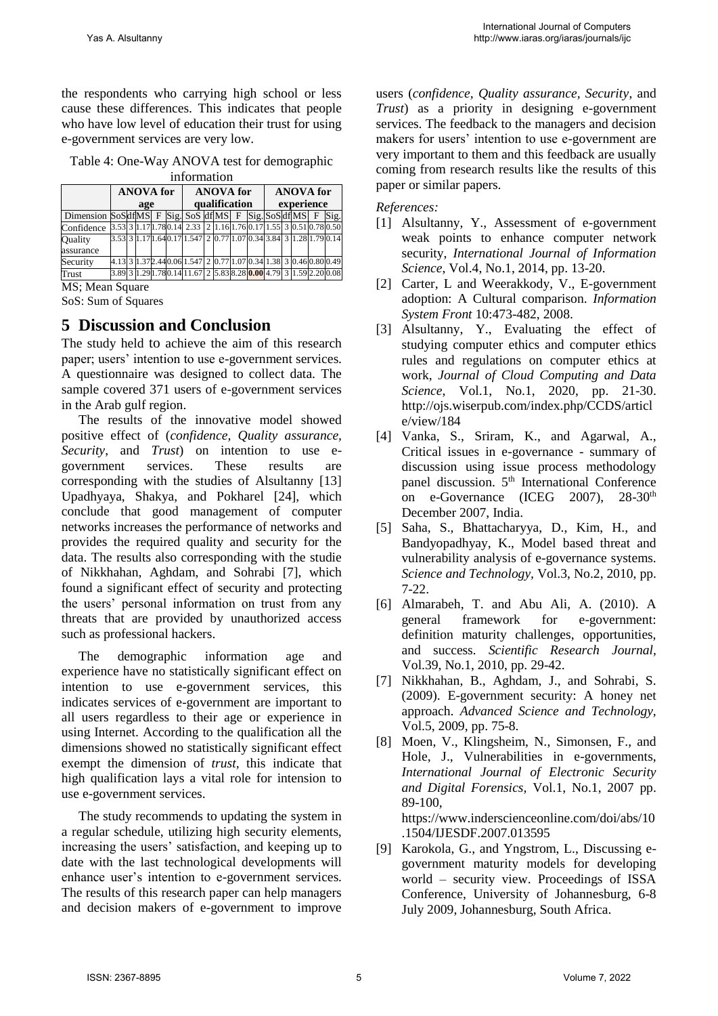the respondents who carrying high school or less cause these differences. This indicates that people who have low level of education their trust for using e-government services are very low.

| Table 4: One-Way ANOVA test for demographic |                       |  |
|---------------------------------------------|-----------------------|--|
|                                             | dan Cananan anti-ana. |  |

| ппоналон                                               |                         |  |  |  |  |                                                                                             |  |  |  |                  |  |  |  |              |      |
|--------------------------------------------------------|-------------------------|--|--|--|--|---------------------------------------------------------------------------------------------|--|--|--|------------------|--|--|--|--------------|------|
|                                                        | <b>ANOVA</b> for<br>age |  |  |  |  | <b>ANOVA</b> for<br>qualification                                                           |  |  |  | <b>ANOVA</b> for |  |  |  |              |      |
|                                                        |                         |  |  |  |  |                                                                                             |  |  |  | experience       |  |  |  |              |      |
| Dimension SoSdf[MS] F Sig. SoS df[MS] F Sig. SoSdf[MS] |                         |  |  |  |  |                                                                                             |  |  |  |                  |  |  |  | $\mathbf{F}$ | Sig. |
| Confidence                                             |                         |  |  |  |  | 3.53  3    17   178  0.14  2.33    2    1.16   1.76   0.17   1.55   3    0.51   0.78   0.50 |  |  |  |                  |  |  |  |              |      |
| Ouality                                                |                         |  |  |  |  | 3.53 3 1.17 1.64 0.17 1.547 2 0.77 1.07 0.34 3.84 3 1.28 1.79 0.14                          |  |  |  |                  |  |  |  |              |      |
| assurance                                              |                         |  |  |  |  |                                                                                             |  |  |  |                  |  |  |  |              |      |
| Security                                               |                         |  |  |  |  | 4.13 3 1.37 2.44 0.06 1.547 2 0.77 1.07 0.34 1.38 3 0.46 0.80 0.49                          |  |  |  |                  |  |  |  |              |      |
| Trust                                                  | 3.89 3                  |  |  |  |  | 1.29 1.78 0.14 11.67 2 5.83 8.28 <mark>0.00</mark> 4.79 3 1.59 2.20 0.08                    |  |  |  |                  |  |  |  |              |      |

MS; Mean Square

SoS: Sum of Squares

### **5 Discussion and Conclusion**

The study held to achieve the aim of this research paper; users' intention to use e-government services. A questionnaire was designed to collect data. The sample covered 371 users of e-government services in the Arab gulf region.

The results of the innovative model showed positive effect of (*confidence, Quality assurance, Security*, and *Trust*) on intention to use egovernment services. These results are corresponding with the studies of Alsultanny [13] Upadhyaya, Shakya, and Pokharel [24], which conclude that good management of computer networks increases the performance of networks and provides the required quality and security for the data. The results also corresponding with the studie of Nikkhahan, Aghdam, and Sohrabi [7], which found a significant effect of security and protecting the users' personal information on trust from any threats that are provided by unauthorized access such as professional hackers.

The demographic information age and experience have no statistically significant effect on intention to use e-government services, this indicates services of e-government are important to all users regardless to their age or experience in using Internet. According to the qualification all the dimensions showed no statistically significant effect exempt the dimension of *trust,* this indicate that high qualification lays a vital role for intension to use e-government services.

The study recommends to updating the system in a regular schedule, utilizing high security elements, increasing the users' satisfaction, and keeping up to date with the last technological developments will enhance user's intention to e-government services. The results of this research paper can help managers and decision makers of e-government to improve users (*confidence, Quality assurance, Security*, and *Trust*) as a priority in designing e-government services. The feedback to the managers and decision makers for users' intention to use e-government are very important to them and this feedback are usually coming from research results like the results of this paper or similar papers.

*References:* 

- [1] Alsultanny, Y., Assessment of e-government weak points to enhance computer network security, *International Journal of Information Science*, Vol.4, No.1, 2014, pp. 13-20.
- [2] Carter, L and Weerakkody, V., E-government adoption: A Cultural comparison. *Information System Front* 10:473-482, 2008.
- [3] Alsultanny, Y., Evaluating the effect of studying computer ethics and computer ethics rules and regulations on computer ethics at work, *Journal of Cloud Computing and Data Science*, Vol.1, No.1, 2020, pp. 21-30. [http://ojs.wiserpub.com/index.php/CCDS/articl](http://ojs.wiserpub.com/index.php/CCDS/article/view/184) [e/view/184](http://ojs.wiserpub.com/index.php/CCDS/article/view/184)
- [4] Vanka, S., Sriram, K., and Agarwal, A., Critical issues in e-governance - summary of discussion using issue process methodology panel discussion. 5<sup>th</sup> International Conference on e-Governance (ICEG 2007), 28-30<sup>th</sup> December 2007, India.
- [5] Saha, S., Bhattacharyya, D., Kim, H., and Bandyopadhyay, K., Model based threat and vulnerability analysis of e-governance systems. *Science and Technology,* Vol.3, No.2, 2010, pp. 7-22.
- [6] Almarabeh, T. and Abu Ali, A. (2010). A general framework for e-government: definition maturity challenges, opportunities, and success*. Scientific Research Journal,*  Vol.39, No.1, 2010, pp. 29-42.
- [7] Nikkhahan, B., Aghdam, J., and Sohrabi, S. (2009). E-government security: A honey net approach. *Advanced Science and Technology,*  Vol.5, 2009, pp. 75-8.
- [8] Moen, V., Klingsheim, N., Simonsen, F., and Hole, J., Vulnerabilities in e-governments, *[International Journal of Electronic Security](https://www.inderscienceonline.com/journal/ijesdf)  [and Digital Forensics,](https://www.inderscienceonline.com/journal/ijesdf)* [Vol.1, No.1,](https://www.inderscienceonline.com/toc/ijesdf/1/1) 2007 pp. 89-100, [https://www.inderscienceonline.com/doi/abs/10](https://www.inderscienceonline.com/doi/abs/10.1504/IJESDF.2007.013595) [.1504/IJESDF.2007.013595](https://www.inderscienceonline.com/doi/abs/10.1504/IJESDF.2007.013595)
- [9] Karokola, G., and Yngstrom, L., Discussing egovernment maturity models for developing world – security view. Proceedings of ISSA Conference, University of Johannesburg, 6-8 July 2009, Johannesburg, South Africa.